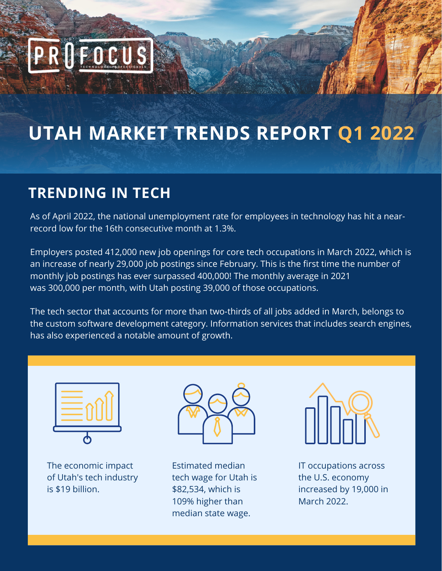# PRIFOCUS

# **UTAH MARKET TRENDS REPORT Q1 2022**

## **TRENDING IN TECH**

As of April 2022, the national unemployment rate for employees in technology has hit a nearrecord low for the 16th consecutive month at 1.3%.

Employers posted 412,000 new job openings for core tech occupations in March 2022, which is an increase of nearly 29,000 job postings since February. This is the first time the number of monthly job postings has ever surpassed 400,000! The monthly average in 2021 was 300,000 per month, with Utah posting 39,000 of those occupations.

The tech sector that accounts for more than two-thirds of all jobs added in March, belongs to the custom software development category. Information services that includes search engines, has also experienced a notable amount of growth.



The economic impact of Utah's tech industry is \$19 billion.



Estimated median tech wage for Utah is \$82,534, which is 109% higher than median state wage.



IT occupations across the U.S. economy increased by 19,000 in March 2022.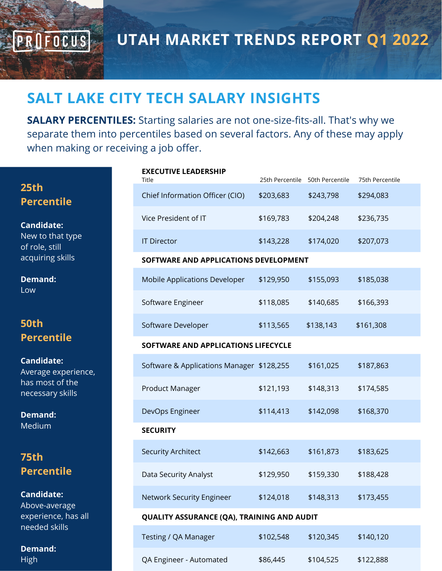**UTAH MARKET TRENDS REPORT Q1 2022**

#### **SALT LAKE CITY TECH SALARY INSIGHTS**

**SALARY PERCENTILES:** Starting salaries are not one-size-fits-all. That's why we separate them into percentiles based on several factors. Any of these may apply when making or receiving a job offer.

| 25th              |  |
|-------------------|--|
| <b>Percentile</b> |  |

PROFOCUS

**Candidate:** New to that type of role, still acquiring skills

**Demand:** Low

#### **50th Percentile**

**Candidate:** Average experience, has most of the necessary skills

**Demand:** Medium

#### **75th Percentile**

**Candidate:**

Above-average experience, has all needed skills

**Demand:** High

|  | <b>EXECUTIVE LEADERSHIP</b> |
|--|-----------------------------|
|--|-----------------------------|

| Title                                      | 25th Percentile                       | 50th Percentile | 75th Percentile |  |  |  |
|--------------------------------------------|---------------------------------------|-----------------|-----------------|--|--|--|
| Chief Information Officer (CIO)            | \$203,683                             | \$243,798       | \$294,083       |  |  |  |
| Vice President of IT                       | \$169,783                             | \$204,248       | \$236,735       |  |  |  |
| <b>IT Director</b>                         | \$143,228                             | \$174,020       | \$207,073       |  |  |  |
|                                            | SOFTWARE AND APPLICATIONS DEVELOPMENT |                 |                 |  |  |  |
| <b>Mobile Applications Developer</b>       | \$129,950                             | \$155,093       | \$185,038       |  |  |  |
| Software Engineer                          | \$118,085                             | \$140,685       | \$166,393       |  |  |  |
| Software Developer                         | \$113,565                             | \$138,143       | \$161,308       |  |  |  |
| SOFTWARE AND APPLICATIONS LIFECYCLE        |                                       |                 |                 |  |  |  |
| Software & Applications Manager \$128,255  |                                       | \$161,025       | \$187,863       |  |  |  |
| Product Manager                            | \$121,193                             | \$148,313       | \$174,585       |  |  |  |
| DevOps Engineer                            | \$114,413                             | \$142,098       | \$168,370       |  |  |  |
| <b>SECURITY</b>                            |                                       |                 |                 |  |  |  |
| <b>Security Architect</b>                  | \$142,663                             | \$161,873       | \$183,625       |  |  |  |
| Data Security Analyst                      | \$129,950                             | \$159,330       | \$188,428       |  |  |  |
| <b>Network Security Engineer</b>           | \$124,018                             | \$148,313       | \$173,455       |  |  |  |
| QUALITY ASSURANCE (QA), TRAINING AND AUDIT |                                       |                 |                 |  |  |  |
| Testing / QA Manager                       | \$102,548                             | \$120,345       | \$140,120       |  |  |  |
| QA Engineer - Automated                    | \$86,445                              | \$104,525       | \$122,888       |  |  |  |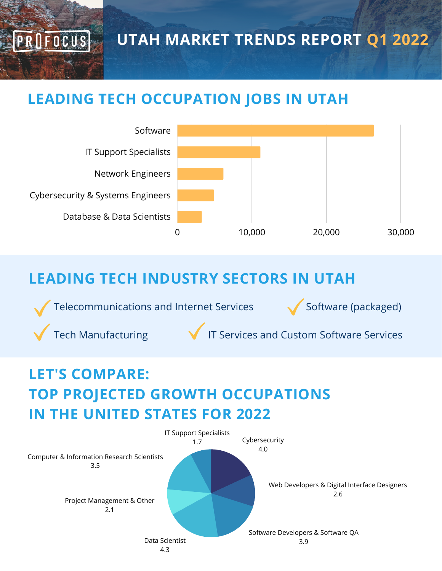**UTAH MARKET TRENDS REPORT Q1 2022**

### **LEADING TECH OCCUPATION JOBS IN UTAH**



### **LEADING TECH INDUSTRY SECTORS IN UTAH**

Telecommunications and Internet Services  $\bigvee$  Software (packaged)

ROFOCUS

Tech Manufacturing  $\blacksquare$  IT Services and Custom Software Services

# **LET'S COMPARE: TOP PROJECTED GROWTH OCCUPATIONS IN THE UNITED STATES FOR 2022**